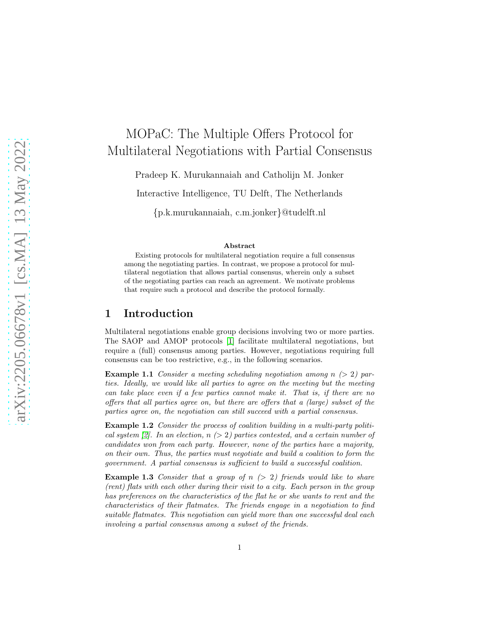# MOPaC: The Multiple Offers Protocol for Multilateral Negotiations with Partial Consensus

Pradeep K. Murukannaiah and Catholijn M. Jonker

Interactive Intelligence, TU Delft, The Netherlands

{p.k.murukannaiah, c.m.jonker}@tudelft.nl

#### Abstract

Existing protocols for multilateral negotiation require a full consensus among the negotiating parties. In contrast, we propose a protocol for multilateral negotiation that allows partial consensus, wherein only a subset of the negotiating parties can reach an agreement. We motivate problems that require such a protocol and describe the protocol formally.

## 1 Introduction

Multilateral negotiations enable group decisions involving two or more parties. The SAOP and AMOP protocols [\[1\]](#page-3-0) facilitate multilateral negotiations, but require a (full) consensus among parties. However, negotiations requiring full consensus can be too restrictive, e.g., in the following scenarios.

<span id="page-0-0"></span>**Example 1.1** Consider a meeting scheduling negotiation among  $n \geq 2$  parties. Ideally, we would like all parties to agree on the meeting but the meeting can take place even if a few parties cannot make it. That is, if there are no offers that all parties agree on, but there are offers that a (large) subset of the parties agree on, the negotiation can still succeed with a partial consensus.

<span id="page-0-1"></span>Example 1.2 Consider the process of coalition building in a multi-party politi-cal system [\[2\]](#page-3-1). In an election,  $n > 2$  parties contested, and a certain number of candidates won from each party. However, none of the parties have a majority, on their own. Thus, the parties must negotiate and build a coalition to form the government. A partial consensus is sufficient to build a successful coalition.

<span id="page-0-2"></span>**Example 1.3** Consider that a group of  $n > 2$ ) friends would like to share (rent) flats with each other during their visit to a city. Each person in the group has preferences on the characteristics of the flat he or she wants to rent and the characteristics of their flatmates. The friends engage in a negotiation to find suitable flatmates. This negotiation can yield more than one successful deal each involving a partial consensus among a subset of the friends.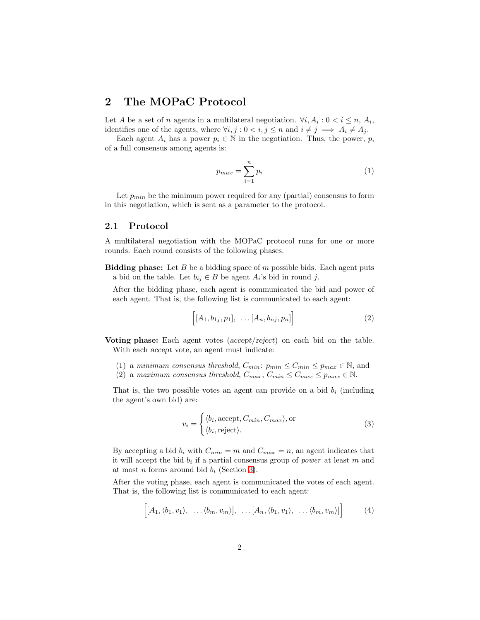## 2 The MOPaC Protocol

Let A be a set of n agents in a multilateral negotiation.  $\forall i, A_i : 0 < i \leq n, A_i$ , identifies one of the agents, where  $\forall i, j : 0 \le i, j \le n$  and  $i \ne j \implies A_i \ne A_j$ .

Each agent  $A_i$  has a power  $p_i \in \mathbb{N}$  in the negotiation. Thus, the power, p, of a full consensus among agents is:

$$
p_{max} = \sum_{i=1}^{n} p_i
$$
 (1)

Let  $p_{min}$  be the minimum power required for any (partial) consensus to form in this negotiation, which is sent as a parameter to the protocol.

### 2.1 Protocol

A multilateral negotiation with the MOPaC protocol runs for one or more rounds. Each round consists of the following phases.

**Bidding phase:** Let B be a bidding space of  $m$  possible bids. Each agent puts a bid on the table. Let  $b_{ij} \in B$  be agent  $A_i$ 's bid in round j.

After the bidding phase, each agent is communicated the bid and power of each agent. That is, the following list is communicated to each agent:

$$
\left[[A_1, b_{1j}, p_1], \ldots [A_n, b_{nj}, p_n]\right] \tag{2}
$$

Voting phase: Each agent votes (accept/reject) on each bid on the table. With each accept vote, an agent must indicate:

- (1) a minimum consensus threshold,  $C_{min}$ :  $p_{min} \leq C_{min} \leq p_{max} \in \mathbb{N}$ , and
- (2) a maximum consensus threshold,  $C_{max}$ ,  $C_{min} \leq C_{max} \leq p_{max} \in \mathbb{N}$ .

That is, the two possible votes an agent can provide on a bid  $b_i$  (including the agent's own bid) are:

$$
v_i = \begin{cases} \langle b_i, \text{accept}, C_{min}, C_{max} \rangle, \text{or} \\ \langle b_i, \text{reject} \rangle. \end{cases} \tag{3}
$$

By accepting a bid  $b_i$  with  $C_{min} = m$  and  $C_{max} = n$ , an agent indicates that it will accept the bid  $b_i$  if a partial consensus group of *power* at least m and at most *n* forms around bid  $b_i$  (Section [3\)](#page-2-0).

After the voting phase, each agent is communicated the votes of each agent. That is, the following list is communicated to each agent:

$$
\left[ [A_1, \langle b_1, v_1 \rangle, \ldots \langle b_m, v_m \rangle], \ldots, [A_n, \langle b_1, v_1 \rangle, \ldots \langle b_m, v_m \rangle] \right] \tag{4}
$$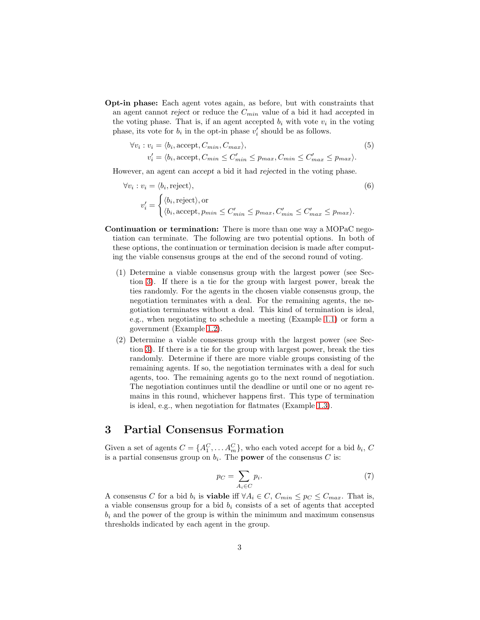Opt-in phase: Each agent votes again, as before, but with constraints that an agent cannot reject or reduce the  $C_{min}$  value of a bid it had accepted in the voting phase. That is, if an agent accepted  $b_i$  with vote  $v_i$  in the voting phase, its vote for  $b_i$  in the opt-in phase  $v'_i$  should be as follows.

$$
\forall v_i : v_i = \langle b_i, \text{accept}, C_{min}, C_{max} \rangle,
$$
  
\n
$$
v'_i = \langle b_i, \text{accept}, C_{min} \le C'_{min} \le p_{max}, C_{min} \le C'_{max} \le p_{max} \rangle.
$$
\n(5)

However, an agent can accept a bid it had rejected in the voting phase.

$$
\forall v_i : v_i = \langle b_i, \text{reject} \rangle, \tag{6}
$$
\n
$$
v'_i = \begin{cases} \langle b_i, \text{reject} \rangle, \text{or} \\ \langle b_i, \text{accept}, p_{min} \le C_{min}' \le p_{max}, C_{min}' \le C_{max}' \le p_{max} \rangle. \end{cases}
$$

- Continuation or termination: There is more than one way a MOPaC negotiation can terminate. The following are two potential options. In both of these options, the continuation or termination decision is made after computing the viable consensus groups at the end of the second round of voting.
	- (1) Determine a viable consensus group with the largest power (see Section [3\)](#page-2-0). If there is a tie for the group with largest power, break the ties randomly. For the agents in the chosen viable consensus group, the negotiation terminates with a deal. For the remaining agents, the negotiation terminates without a deal. This kind of termination is ideal, e.g., when negotiating to schedule a meeting (Example [1.1\)](#page-0-0) or form a government (Example [1.2\)](#page-0-1).
	- (2) Determine a viable consensus group with the largest power (see Section [3\)](#page-2-0). If there is a tie for the group with largest power, break the ties randomly. Determine if there are more viable groups consisting of the remaining agents. If so, the negotiation terminates with a deal for such agents, too. The remaining agents go to the next round of negotiation. The negotiation continues until the deadline or until one or no agent remains in this round, whichever happens first. This type of termination is ideal, e.g., when negotiation for flatmates (Example [1.3\)](#page-0-2).

## <span id="page-2-0"></span>3 Partial Consensus Formation

Given a set of agents  $C = \{A_1^C, \ldots, A_m^C\}$ , who each voted accept for a bid  $b_i$ , C is a partial consensus group on  $b_i$ . The **power** of the consensus C is:

$$
p_C = \sum_{A_i \in C} p_i. \tag{7}
$$

A consensus C for a bid  $b_i$  is **viable** if  $\forall A_i \in C$ ,  $C_{min} \leq p_C \leq C_{max}$ . That is, a viable consensus group for a bid  $b_i$  consists of a set of agents that accepted  $b_i$  and the power of the group is within the minimum and maximum consensus thresholds indicated by each agent in the group.